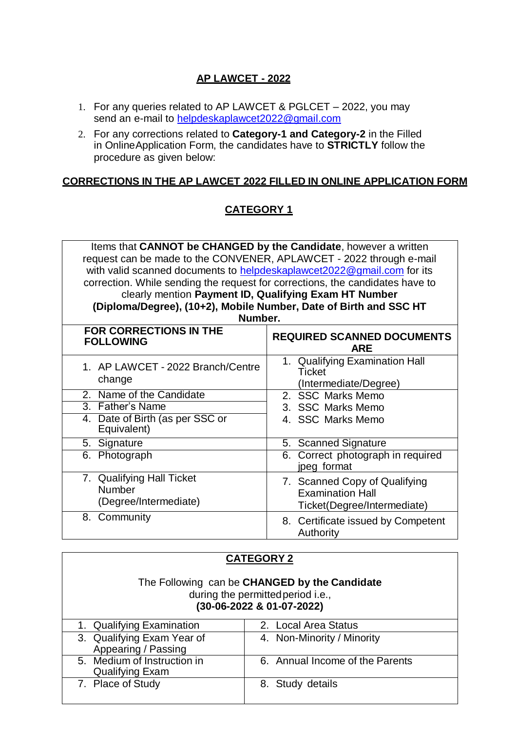## **AP LAWCET - 2022**

- 1. For any queries related to AP LAWCET & PGLCET 2022, you may send an e-mail to <helpdeskaplawcet2022@gmail.com>
- 2. For any corrections related to **Category-1 and Category-2** in the Filled in OnlineApplication Form, the candidates have to **STRICTLY** follow the procedure as given below:

## **CORRECTIONS IN THE AP LAWCET 2022 FILLED IN ONLINE APPLICATION FORM**

## **CATEGORY 1**

| Items that CANNOT be CHANGED by the Candidate, however a written              |                                                                                         |  |
|-------------------------------------------------------------------------------|-----------------------------------------------------------------------------------------|--|
| request can be made to the CONVENER, APLAWCET - 2022 through e-mail           |                                                                                         |  |
| with valid scanned documents to helpdeskaplawcet2022@gmail.com for its        |                                                                                         |  |
| correction. While sending the request for corrections, the candidates have to |                                                                                         |  |
| clearly mention Payment ID, Qualifying Exam HT Number                         |                                                                                         |  |
| (Diploma/Degree), (10+2), Mobile Number, Date of Birth and SSC HT             |                                                                                         |  |
| Number.                                                                       |                                                                                         |  |
| FOR CORRECTIONS IN THE<br><b>FOLLOWING</b>                                    | <b>REQUIRED SCANNED DOCUMENTS</b><br><b>ARE</b>                                         |  |
| 1. AP LAWCET - 2022 Branch/Centre<br>change                                   | 1. Qualifying Examination Hall<br><b>Ticket</b><br>(Intermediate/Degree)                |  |
| 2. Name of the Candidate                                                      | 2. SSC Marks Memo                                                                       |  |
| 3. Father's Name                                                              | 3. SSC Marks Memo                                                                       |  |
| 4. Date of Birth (as per SSC or<br>Equivalent)                                | 4. SSC Marks Memo                                                                       |  |
| 5. Signature                                                                  | 5. Scanned Signature                                                                    |  |
| 6. Photograph                                                                 | 6. Correct photograph in required<br>jpeg format                                        |  |
| 7. Qualifying Hall Ticket<br>Number<br>(Degree/Intermediate)                  | 7. Scanned Copy of Qualifying<br><b>Examination Hall</b><br>Ticket(Degree/Intermediate) |  |
| 8. Community                                                                  | 8. Certificate issued by Competent<br>Authority                                         |  |

| <b>CATEGORY 2</b>                                                                                               |                                 |  |
|-----------------------------------------------------------------------------------------------------------------|---------------------------------|--|
| The Following can be CHANGED by the Candidate<br>during the permitted period i.e.,<br>(30-06-2022 & 01-07-2022) |                                 |  |
| 1. Qualifying Examination                                                                                       | 2. Local Area Status            |  |
| 3. Qualifying Exam Year of<br>Appearing / Passing                                                               | 4. Non-Minority / Minority      |  |
| 5. Medium of Instruction in<br><b>Qualifying Exam</b>                                                           | 6. Annual Income of the Parents |  |
| 7. Place of Study                                                                                               | 8. Study details                |  |